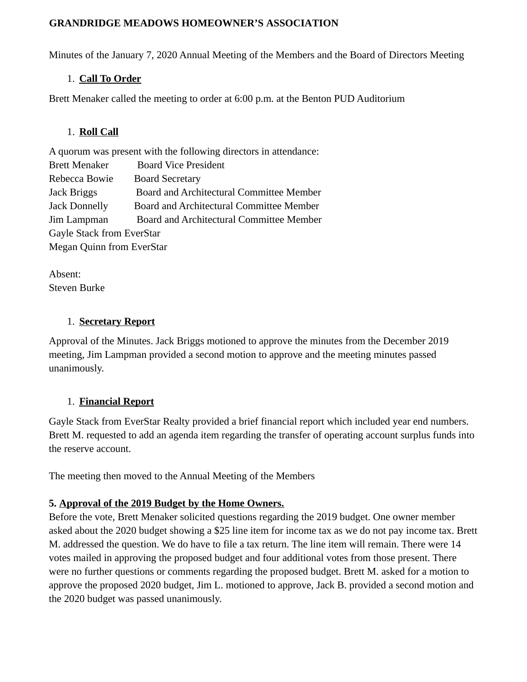#### **GRANDRIDGE MEADOWS HOMEOWNER'S ASSOCIATION**

Minutes of the January 7, 2020 Annual Meeting of the Members and the Board of Directors Meeting

## 1. **Call To Order**

Brett Menaker called the meeting to order at 6:00 p.m. at the Benton PUD Auditorium

## 1. **Roll Call**

| A quorum was present with the following directors in attendance: |                                          |
|------------------------------------------------------------------|------------------------------------------|
| <b>Brett Menaker</b>                                             | <b>Board Vice President</b>              |
| Rebecca Bowie                                                    | <b>Board Secretary</b>                   |
| Jack Briggs                                                      | Board and Architectural Committee Member |
| <b>Jack Donnelly</b>                                             | Board and Architectural Committee Member |
| Jim Lampman                                                      | Board and Architectural Committee Member |
| Gayle Stack from EverStar                                        |                                          |
| Megan Quinn from EverStar                                        |                                          |
|                                                                  |                                          |

Absent: Steven Burke

# 1. **Secretary Report**

Approval of the Minutes. Jack Briggs motioned to approve the minutes from the December 2019 meeting, Jim Lampman provided a second motion to approve and the meeting minutes passed unanimously.

# 1. **Financial Report**

Gayle Stack from EverStar Realty provided a brief financial report which included year end numbers. Brett M. requested to add an agenda item regarding the transfer of operating account surplus funds into the reserve account.

The meeting then moved to the Annual Meeting of the Members

# **5. Approval of the 2019 Budget by the Home Owners.**

Before the vote, Brett Menaker solicited questions regarding the 2019 budget. One owner member asked about the 2020 budget showing a \$25 line item for income tax as we do not pay income tax. Brett M. addressed the question. We do have to file a tax return. The line item will remain. There were 14 votes mailed in approving the proposed budget and four additional votes from those present. There were no further questions or comments regarding the proposed budget. Brett M. asked for a motion to approve the proposed 2020 budget, Jim L. motioned to approve, Jack B. provided a second motion and the 2020 budget was passed unanimously.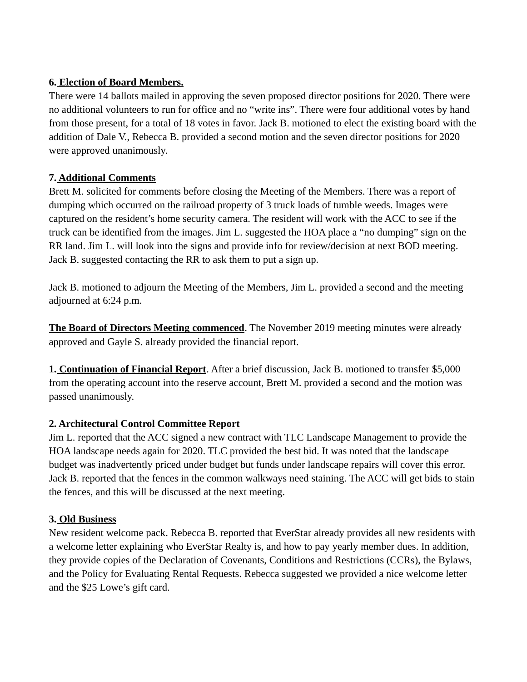## **6. Election of Board Members.**

There were 14 ballots mailed in approving the seven proposed director positions for 2020. There were no additional volunteers to run for office and no "write ins". There were four additional votes by hand from those present, for a total of 18 votes in favor. Jack B. motioned to elect the existing board with the addition of Dale V., Rebecca B. provided a second motion and the seven director positions for 2020 were approved unanimously.

### **7. Additional Comments**

Brett M. solicited for comments before closing the Meeting of the Members. There was a report of dumping which occurred on the railroad property of 3 truck loads of tumble weeds. Images were captured on the resident's home security camera. The resident will work with the ACC to see if the truck can be identified from the images. Jim L. suggested the HOA place a "no dumping" sign on the RR land. Jim L. will look into the signs and provide info for review/decision at next BOD meeting. Jack B. suggested contacting the RR to ask them to put a sign up.

Jack B. motioned to adjourn the Meeting of the Members, Jim L. provided a second and the meeting adjourned at 6:24 p.m.

**The Board of Directors Meeting commenced**. The November 2019 meeting minutes were already approved and Gayle S. already provided the financial report.

**1. Continuation of Financial Report**. After a brief discussion, Jack B. motioned to transfer \$5,000 from the operating account into the reserve account, Brett M. provided a second and the motion was passed unanimously.

# **2. Architectural Control Committee Report**

Jim L. reported that the ACC signed a new contract with TLC Landscape Management to provide the HOA landscape needs again for 2020. TLC provided the best bid. It was noted that the landscape budget was inadvertently priced under budget but funds under landscape repairs will cover this error. Jack B. reported that the fences in the common walkways need staining. The ACC will get bids to stain the fences, and this will be discussed at the next meeting.

# **3. Old Business**

New resident welcome pack. Rebecca B. reported that EverStar already provides all new residents with a welcome letter explaining who EverStar Realty is, and how to pay yearly member dues. In addition, they provide copies of the Declaration of Covenants, Conditions and Restrictions (CCRs), the Bylaws, and the Policy for Evaluating Rental Requests. Rebecca suggested we provided a nice welcome letter and the \$25 Lowe's gift card.